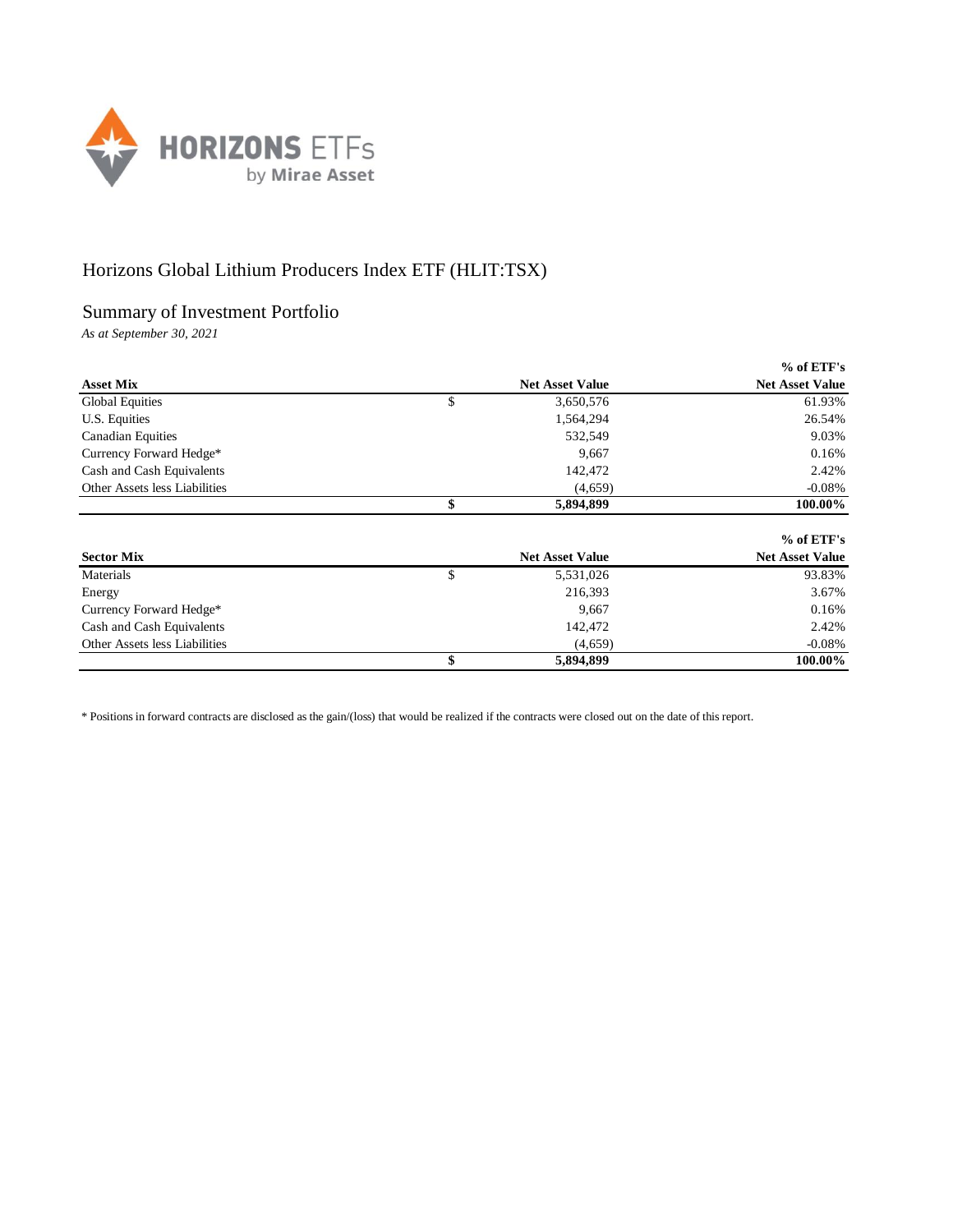

## Horizons Global Lithium Producers Index ETF (HLIT:TSX)

## Summary of Investment Portfolio

*As at September 30, 2021*

|                               |                        | $%$ of ETF's           |
|-------------------------------|------------------------|------------------------|
| <b>Asset Mix</b>              | <b>Net Asset Value</b> | <b>Net Asset Value</b> |
| <b>Global Equities</b>        | \$<br>3,650,576        | 61.93%                 |
| U.S. Equities                 | 1,564,294              | 26.54%                 |
| <b>Canadian Equities</b>      | 532,549                | 9.03%                  |
| Currency Forward Hedge*       | 9,667                  | 0.16%                  |
| Cash and Cash Equivalents     | 142,472                | 2.42%                  |
| Other Assets less Liabilities | (4,659)                | $-0.08\%$              |
|                               | \$<br>5,894,899        | 100.00%                |
|                               |                        | $%$ of ETF's           |
| <b>Sector Mix</b>             | <b>Net Asset Value</b> | <b>Net Asset Value</b> |
| Materials                     | \$<br>5,531,026        | 93.83%                 |
| Energy                        | 216,393                | 3.67%                  |
| Currency Forward Hedge*       | 9,667                  | 0.16%                  |

Cash and Cash Equivalents 2.42% 2.42% Other Assets less Liabilities (4,659) -0.08%

**\$ 5,894,899 100.00%**

\* Positions in forward contracts are disclosed as the gain/(loss) that would be realized if the contracts were closed out on the date of this report.